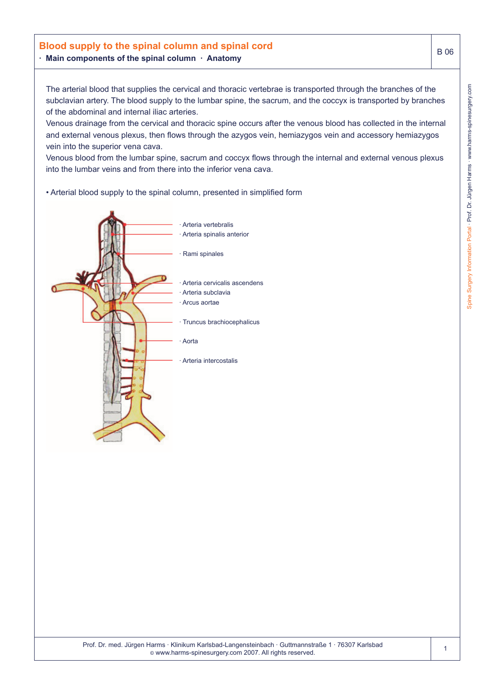## **Blood supply to the spinal column and spinal cord · Main components of the spinal column · Anatomy**

The arterial blood that supplies the cervical and thoracic vertebrae is transported through the branches of the subclavian artery. The blood supply to the lumbar spine, the sacrum, and the coccyx is transported by branches of the abdominal and internal iliac arteries.

Venous drainage from the cervical and thoracic spine occurs after the venous blood has collected in the internal and external venous plexus, then flows through the azygos vein, hemiazygos vein and accessory hemiazygos vein into the superior vena cava.

Venous blood from the lumbar spine, sacrum and coccyx flows through the internal and external venous plexus into the lumbar veins and from there into the inferior vena cava.

• Arterial blood supply to the spinal column, presented in simplified form



B 06